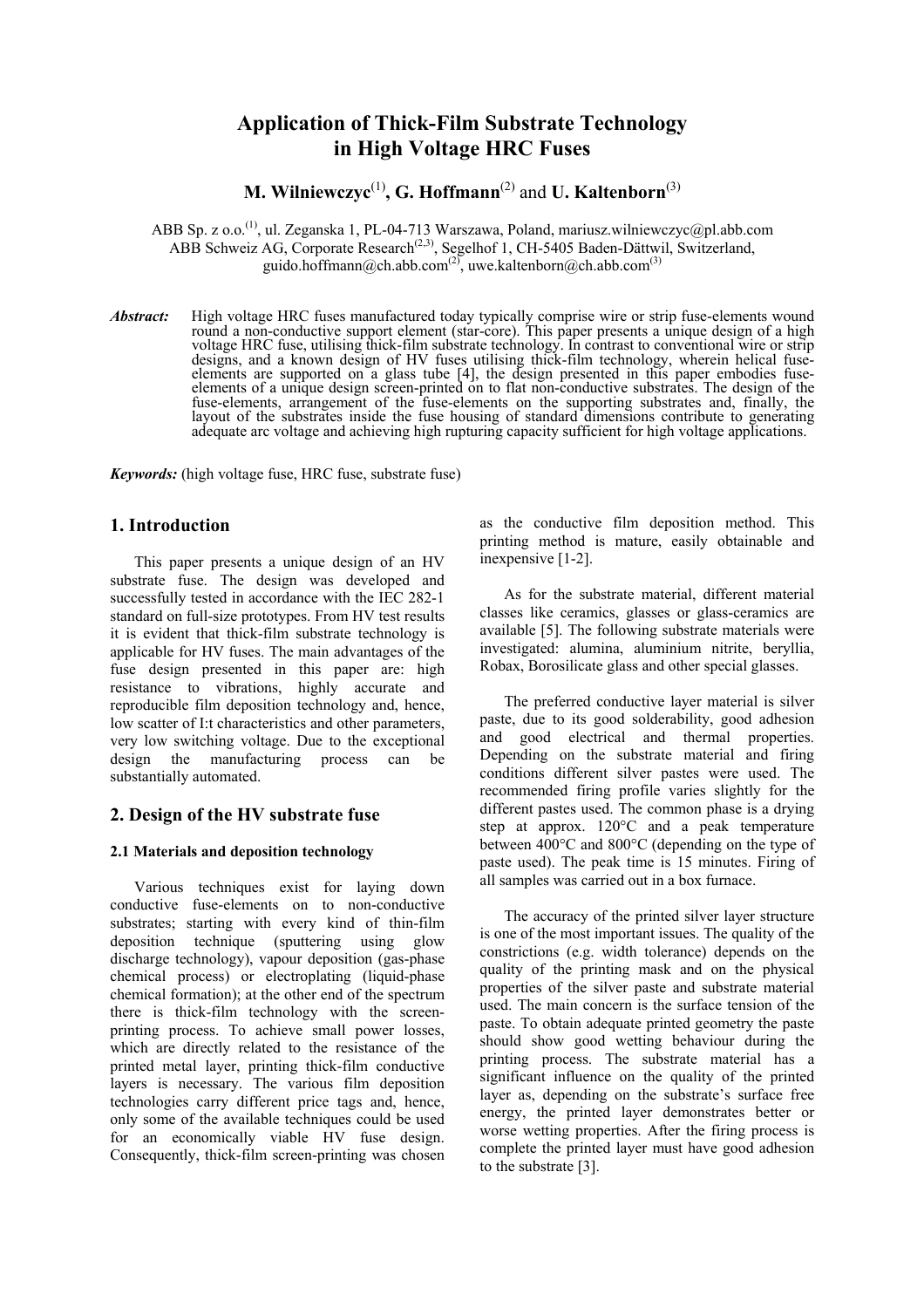# **Application of Thick-Film Substrate Technology in High Voltage HRC Fuses**

**M. Wilniewczyc**(1)**, G. Hoffmann**(2) and **U. Kaltenborn**(3)

ABB Sp. z o.o.<sup>(1)</sup>, ul. Zeganska 1, PL-04-713 Warszawa, Poland, mariusz.wilniewczyc@pl.abb.com ABB Schweiz AG, Corporate Research<sup> $(2,3)$ </sup>, Segelhof 1, CH-5405 Baden-Dättwil, Switzerland, guido.hoffmann@ch.abb.com<sup>(2)</sup>, uwe.kaltenborn@ch.abb.com<sup>(3)</sup>

*Abstract:*High voltage HRC fuses manufactured today typically comprise wire or strip fuse-elements wound round a non-conductive support element (star-core). This paper presents a unique design of a high voltage HRC fuse, utilising thick-film substrate technology. In contrast to conventional wire or strip designs, and a known design of HV fuses utilising thick-film technology, wherein helical fuseelements are supported on a glass tube [4], the design presented in this paper embodies fuseelements of a unique design screen-printed on to flat non-conductive substrates. The design of the fuse-elements, arrangement of the fuse-elements on the supporting substrates and, finally, the layout of the substrates inside the fuse housing of standard dimensions contribute to generating adequate arc voltage and achieving high rupturing capacity sufficient for high voltage applications.

*Keywords:* (high voltage fuse, HRC fuse, substrate fuse)

# **1. Introduction**

 This paper presents a unique design of an HV substrate fuse. The design was developed and successfully tested in accordance with the IEC 282-1 standard on full-size prototypes. From HV test results it is evident that thick-film substrate technology is applicable for HV fuses. The main advantages of the fuse design presented in this paper are: high resistance to vibrations, highly accurate and reproducible film deposition technology and, hence, low scatter of I:t characteristics and other parameters, very low switching voltage. Due to the exceptional design the manufacturing process can be substantially automated.

# **2. Design of the HV substrate fuse**

#### **2.1 Materials and deposition technology**

Various techniques exist for laying down conductive fuse-elements on to non-conductive substrates; starting with every kind of thin-film deposition technique (sputtering using glow discharge technology), vapour deposition (gas-phase chemical process) or electroplating (liquid-phase chemical formation); at the other end of the spectrum there is thick-film technology with the screenprinting process. To achieve small power losses, which are directly related to the resistance of the printed metal layer, printing thick-film conductive layers is necessary. The various film deposition technologies carry different price tags and, hence, only some of the available techniques could be used for an economically viable HV fuse design. Consequently, thick-film screen-printing was chosen as the conductive film deposition method. This printing method is mature, easily obtainable and inexpensive [1-2].

As for the substrate material, different material classes like ceramics, glasses or glass-ceramics are available [5]. The following substrate materials were investigated: alumina, aluminium nitrite, beryllia, Robax, Borosilicate glass and other special glasses.

The preferred conductive layer material is silver paste, due to its good solderability, good adhesion and good electrical and thermal properties. Depending on the substrate material and firing conditions different silver pastes were used. The recommended firing profile varies slightly for the different pastes used. The common phase is a drying step at approx. 120°C and a peak temperature between 400°C and 800°C (depending on the type of paste used). The peak time is 15 minutes. Firing of all samples was carried out in a box furnace.

The accuracy of the printed silver layer structure is one of the most important issues. The quality of the constrictions (e.g. width tolerance) depends on the quality of the printing mask and on the physical properties of the silver paste and substrate material used. The main concern is the surface tension of the paste. To obtain adequate printed geometry the paste should show good wetting behaviour during the printing process. The substrate material has a significant influence on the quality of the printed layer as, depending on the substrate's surface free energy, the printed layer demonstrates better or worse wetting properties. After the firing process is complete the printed layer must have good adhesion to the substrate [3].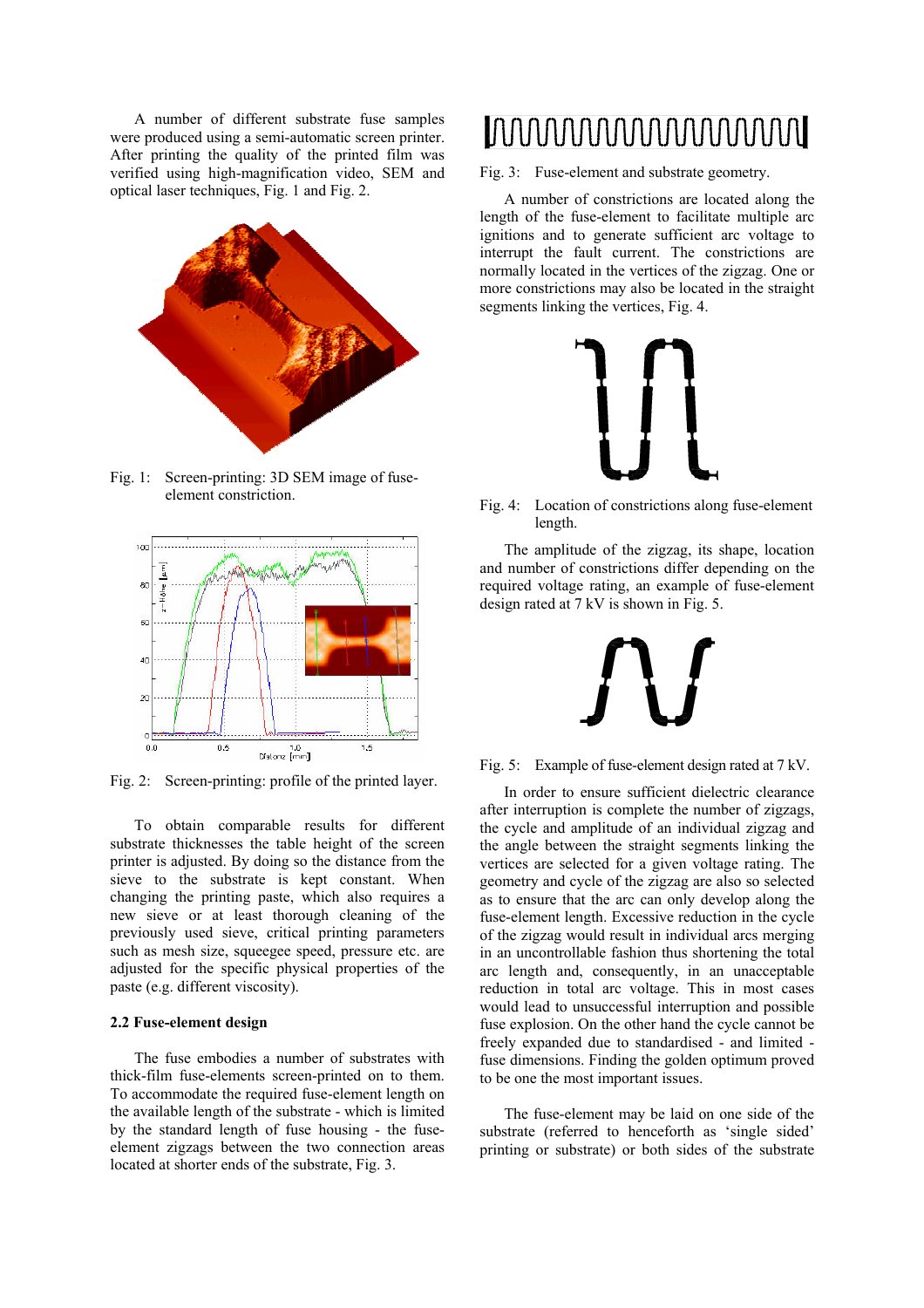A number of different substrate fuse samples were produced using a semi-automatic screen printer. After printing the quality of the printed film was verified using high-magnification video, SEM and optical laser techniques, Fig. 1 and Fig. 2.



Fig. 1: Screen-printing: 3D SEM image of fuseelement constriction.



Fig. 2: Screen-printing: profile of the printed layer.

To obtain comparable results for different substrate thicknesses the table height of the screen printer is adjusted. By doing so the distance from the sieve to the substrate is kept constant. When changing the printing paste, which also requires a new sieve or at least thorough cleaning of the previously used sieve, critical printing parameters such as mesh size, squeegee speed, pressure etc. are adjusted for the specific physical properties of the paste (e.g. different viscosity).

#### **2.2 Fuse-element design**

 The fuse embodies a number of substrates with thick-film fuse-elements screen-printed on to them. To accommodate the required fuse-element length on the available length of the substrate - which is limited by the standard length of fuse housing - the fuseelement zigzags between the two connection areas located at shorter ends of the substrate, Fig. 3.

# ╎╏┨╏┨╏╏╏╏╏╏╏╏╏╏╏╏╏╏╏╏╏╏╏<u>╏</u>╏╏╏<br>╎╏╏╽╏┧╏╏┟╏╏╏╏╏╏╏╏╏╏┨╏╏╏╏╏╏╏

Fig. 3: Fuse-element and substrate geometry.

 A number of constrictions are located along the length of the fuse-element to facilitate multiple arc ignitions and to generate sufficient arc voltage to interrupt the fault current. The constrictions are normally located in the vertices of the zigzag. One or more constrictions may also be located in the straight segments linking the vertices, Fig. 4.



Fig. 4: Location of constrictions along fuse-element length.

 The amplitude of the zigzag, its shape, location and number of constrictions differ depending on the required voltage rating, an example of fuse-element design rated at 7 kV is shown in Fig. 5.



Fig. 5: Example of fuse-element design rated at 7 kV.

 In order to ensure sufficient dielectric clearance after interruption is complete the number of zigzags, the cycle and amplitude of an individual zigzag and the angle between the straight segments linking the vertices are selected for a given voltage rating. The geometry and cycle of the zigzag are also so selected as to ensure that the arc can only develop along the fuse-element length. Excessive reduction in the cycle of the zigzag would result in individual arcs merging in an uncontrollable fashion thus shortening the total arc length and, consequently, in an unacceptable reduction in total arc voltage. This in most cases would lead to unsuccessful interruption and possible fuse explosion. On the other hand the cycle cannot be freely expanded due to standardised - and limited fuse dimensions. Finding the golden optimum proved to be one the most important issues.

 The fuse-element may be laid on one side of the substrate (referred to henceforth as 'single sided' printing or substrate) or both sides of the substrate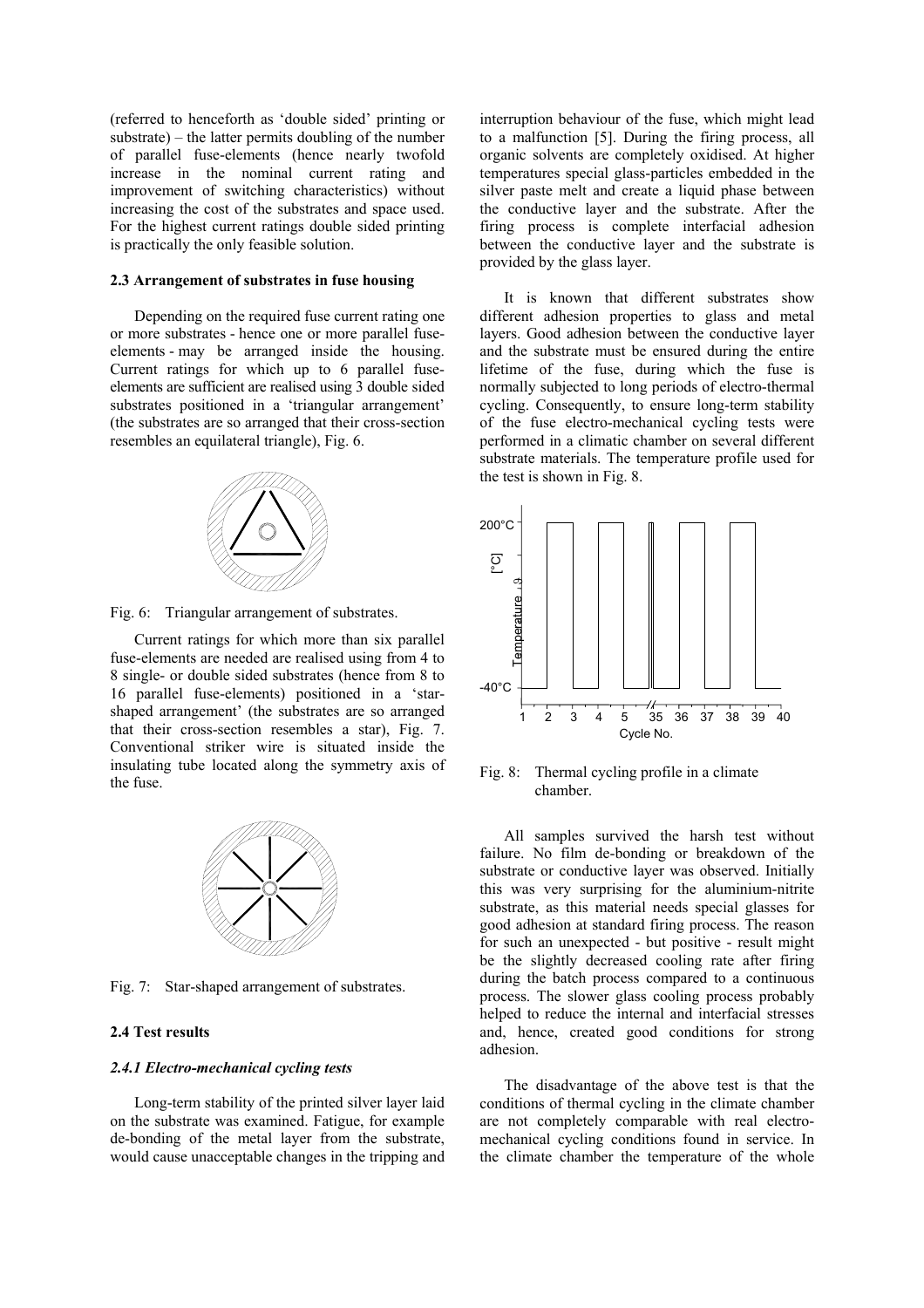(referred to henceforth as 'double sided' printing or substrate) – the latter permits doubling of the number of parallel fuse-elements (hence nearly twofold increase in the nominal current rating and improvement of switching characteristics) without increasing the cost of the substrates and space used. For the highest current ratings double sided printing is practically the only feasible solution.

#### **2.3 Arrangement of substrates in fuse housing**

Depending on the required fuse current rating one or more substrates - hence one or more parallel fuseelements - may be arranged inside the housing. Current ratings for which up to 6 parallel fuseelements are sufficient are realised using 3 double sided substrates positioned in a 'triangular arrangement' (the substrates are so arranged that their cross-section resembles an equilateral triangle), Fig. 6.



Fig. 6: Triangular arrangement of substrates.

 Current ratings for which more than six parallel fuse-elements are needed are realised using from 4 to 8 single- or double sided substrates (hence from 8 to 16 parallel fuse-elements) positioned in a 'starshaped arrangement' (the substrates are so arranged that their cross-section resembles a star), Fig. 7. Conventional striker wire is situated inside the insulating tube located along the symmetry axis of the fuse.



Fig. 7: Star-shaped arrangement of substrates.

## **2.4 Test results**

#### *2.4.1 Electro-mechanical cycling tests*

Long-term stability of the printed silver layer laid on the substrate was examined. Fatigue, for example de-bonding of the metal layer from the substrate, would cause unacceptable changes in the tripping and

interruption behaviour of the fuse, which might lead to a malfunction [5]. During the firing process, all organic solvents are completely oxidised. At higher temperatures special glass-particles embedded in the silver paste melt and create a liquid phase between the conductive layer and the substrate. After the firing process is complete interfacial adhesion between the conductive layer and the substrate is provided by the glass layer.

It is known that different substrates show different adhesion properties to glass and metal layers. Good adhesion between the conductive layer and the substrate must be ensured during the entire lifetime of the fuse, during which the fuse is normally subjected to long periods of electro-thermal cycling. Consequently, to ensure long-term stability of the fuse electro-mechanical cycling tests were performed in a climatic chamber on several different substrate materials. The temperature profile used for the test is shown in Fig. 8.



Fig. 8: Thermal cycling profile in a climate chamber.

All samples survived the harsh test without failure. No film de-bonding or breakdown of the substrate or conductive layer was observed. Initially this was very surprising for the aluminium-nitrite substrate, as this material needs special glasses for good adhesion at standard firing process. The reason for such an unexpected - but positive - result might be the slightly decreased cooling rate after firing during the batch process compared to a continuous process. The slower glass cooling process probably helped to reduce the internal and interfacial stresses and, hence, created good conditions for strong adhesion.

The disadvantage of the above test is that the conditions of thermal cycling in the climate chamber are not completely comparable with real electromechanical cycling conditions found in service. In the climate chamber the temperature of the whole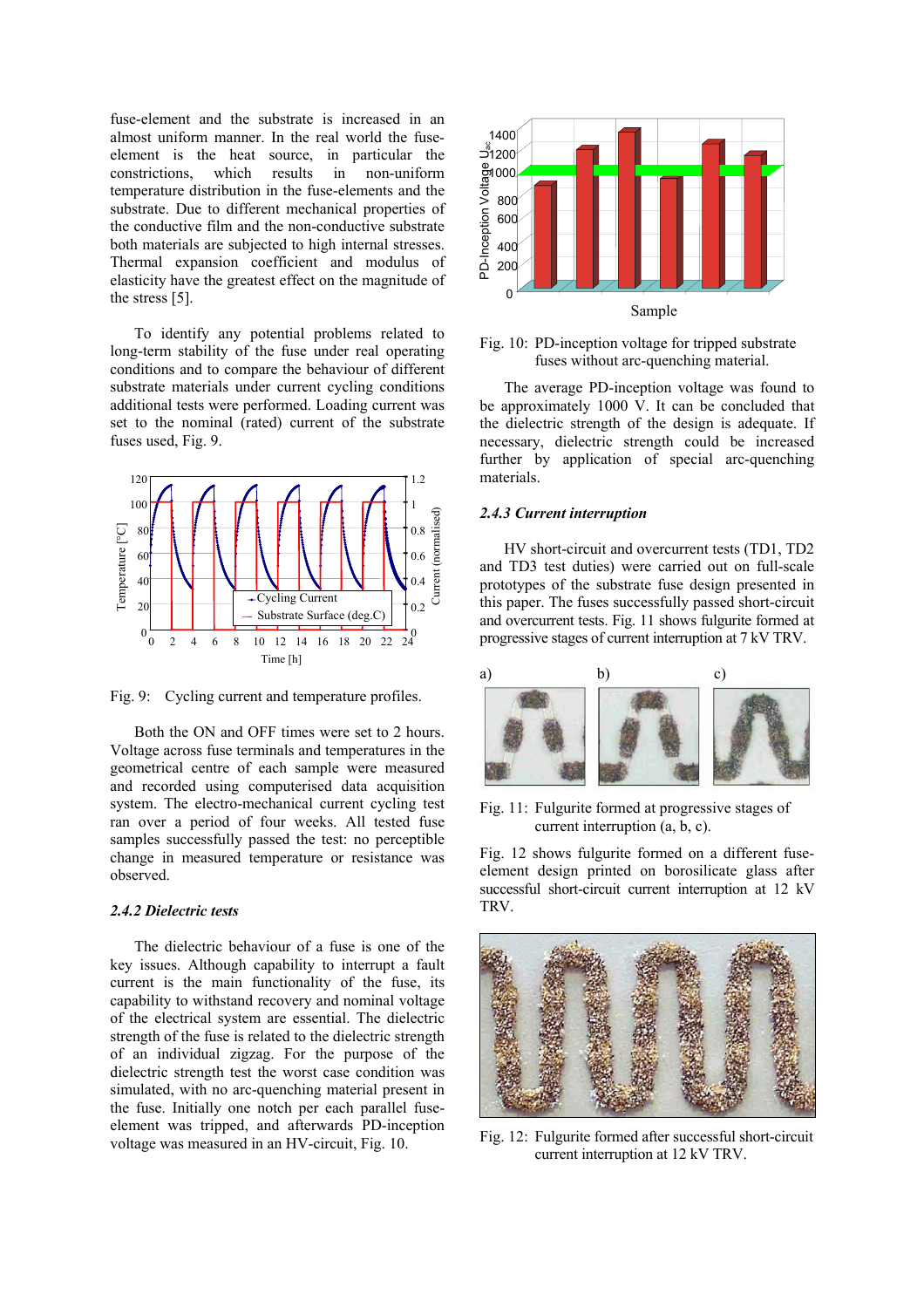fuse-element and the substrate is increased in an almost uniform manner. In the real world the fuseelement is the heat source, in particular the constrictions, which results in non-uniform temperature distribution in the fuse-elements and the substrate. Due to different mechanical properties of the conductive film and the non-conductive substrate both materials are subjected to high internal stresses. Thermal expansion coefficient and modulus of elasticity have the greatest effect on the magnitude of the stress [5].

To identify any potential problems related to long-term stability of the fuse under real operating conditions and to compare the behaviour of different substrate materials under current cycling conditions additional tests were performed. Loading current was set to the nominal (rated) current of the substrate fuses used, Fig. 9.



Fig. 9: Cycling current and temperature profiles.

Both the ON and OFF times were set to 2 hours. Voltage across fuse terminals and temperatures in the geometrical centre of each sample were measured and recorded using computerised data acquisition system. The electro-mechanical current cycling test ran over a period of four weeks. All tested fuse samples successfully passed the test: no perceptible change in measured temperature or resistance was observed.

#### *2.4.2 Dielectric tests*

The dielectric behaviour of a fuse is one of the key issues. Although capability to interrupt a fault current is the main functionality of the fuse, its capability to withstand recovery and nominal voltage of the electrical system are essential. The dielectric strength of the fuse is related to the dielectric strength of an individual zigzag. For the purpose of the dielectric strength test the worst case condition was simulated, with no arc-quenching material present in the fuse. Initially one notch per each parallel fuseelement was tripped, and afterwards PD-inception voltage was measured in an HV-circuit, Fig. 10.



Fig. 10: PD-inception voltage for tripped substrate fuses without arc-quenching material.

The average PD-inception voltage was found to be approximately 1000 V. It can be concluded that the dielectric strength of the design is adequate. If necessary, dielectric strength could be increased further by application of special arc-quenching materials.

#### *2.4.3 Current interruption*

HV short-circuit and overcurrent tests (TD1, TD2 and TD3 test duties) were carried out on full-scale prototypes of the substrate fuse design presented in this paper. The fuses successfully passed short-circuit and overcurrent tests. Fig. 11 shows fulgurite formed at progressive stages of current interruption at 7 kV TRV.



Fig. 11: Fulgurite formed at progressive stages of current interruption (a, b, c).

Fig. 12 shows fulgurite formed on a different fuseelement design printed on borosilicate glass after successful short-circuit current interruption at 12 kV TRV.



Fig. 12: Fulgurite formed after successful short-circuit current interruption at 12 kV TRV.